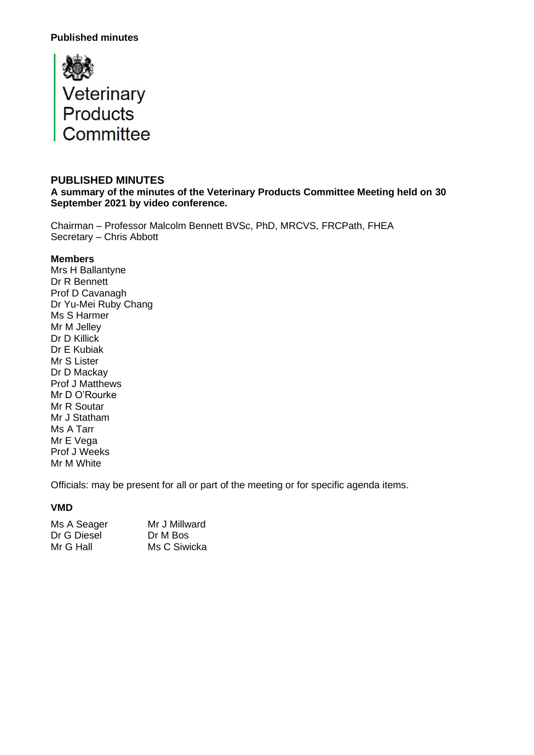

#### **PUBLISHED MINUTES**

**A summary of the minutes of the Veterinary Products Committee Meeting held on 30 September 2021 by video conference.**

Chairman – Professor Malcolm Bennett BVSc, PhD, MRCVS, FRCPath, FHEA Secretary – Chris Abbott

#### **Members**

Mrs H Ballantyne Dr R Bennett Prof D Cavanagh Dr Yu-Mei Ruby Chang Ms S Harmer Mr M Jelley Dr D Killick Dr E Kubiak Mr S Lister Dr D Mackay Prof J Matthews Mr D O'Rourke Mr R Soutar Mr J Statham Ms A Tarr Mr E Vega Prof J Weeks Mr M White

Officials: may be present for all or part of the meeting or for specific agenda items.

#### **VMD**

| Ms A Seager | Mr J Millward |
|-------------|---------------|
| Dr G Diesel | Dr M Bos      |
| Mr G Hall   | Ms C Siwicka  |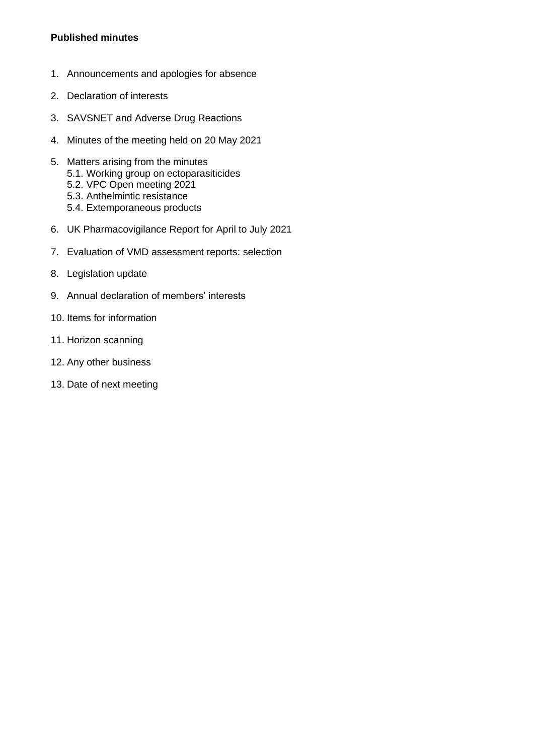- 1. Announcements and apologies for absence
- 2. Declaration of interests
- 3. SAVSNET and Adverse Drug Reactions
- 4. Minutes of the meeting held on 20 May 2021
- 5. Matters arising from the minutes 5.1. Working group on ectoparasiticides 5.2. VPC Open meeting 2021
	- 5.3. Anthelmintic resistance
	- 5.4. Extemporaneous products
- 6. UK Pharmacovigilance Report for April to July 2021
- 7. Evaluation of VMD assessment reports: selection
- 8. Legislation update
- 9. Annual declaration of members' interests
- 10. Items for information
- 11. Horizon scanning
- 12. Any other business
- 13. Date of next meeting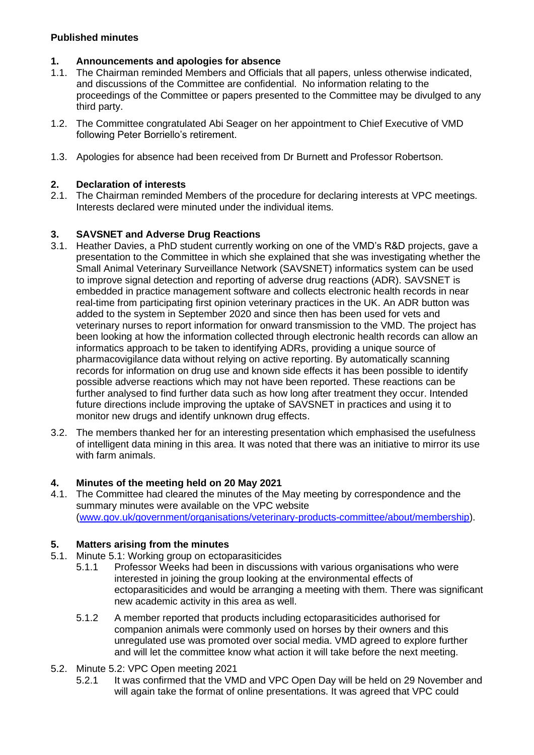# **1. Announcements and apologies for absence**

- 1.1. The Chairman reminded Members and Officials that all papers, unless otherwise indicated, and discussions of the Committee are confidential. No information relating to the proceedings of the Committee or papers presented to the Committee may be divulged to any third party.
- 1.2. The Committee congratulated Abi Seager on her appointment to Chief Executive of VMD following Peter Borriello's retirement.
- 1.3. Apologies for absence had been received from Dr Burnett and Professor Robertson.

# **2. Declaration of interests**

The Chairman reminded Members of the procedure for declaring interests at VPC meetings. Interests declared were minuted under the individual items.

# **3. SAVSNET and Adverse Drug Reactions**

- 3.1. Heather Davies, a PhD student currently working on one of the VMD's R&D projects, gave a presentation to the Committee in which she explained that she was investigating whether the Small Animal Veterinary Surveillance Network (SAVSNET) informatics system can be used to improve signal detection and reporting of adverse drug reactions (ADR). SAVSNET is embedded in practice management software and collects electronic health records in near real-time from participating first opinion veterinary practices in the UK. An ADR button was added to the system in September 2020 and since then has been used for vets and veterinary nurses to report information for onward transmission to the VMD. The project has been looking at how the information collected through electronic health records can allow an informatics approach to be taken to identifying ADRs, providing a unique source of pharmacovigilance data without relying on active reporting. By automatically scanning records for information on drug use and known side effects it has been possible to identify possible adverse reactions which may not have been reported. These reactions can be further analysed to find further data such as how long after treatment they occur. Intended future directions include improving the uptake of SAVSNET in practices and using it to monitor new drugs and identify unknown drug effects.
- 3.2. The members thanked her for an interesting presentation which emphasised the usefulness of intelligent data mining in this area. It was noted that there was an initiative to mirror its use with farm animals.

## **4. Minutes of the meeting held on 20 May 2021**

4.1. The Committee had cleared the minutes of the May meeting by correspondence and the summary minutes were available on the VPC website [\(www.gov.uk/government/organisations/veterinary-products-committee/about/membership\)](http://www.gov.uk/government/organisations/veterinary-products-committee/about/membership).

# **5. Matters arising from the minutes**

- 5.1. Minute 5.1: Working group on ectoparasiticides
	- 5.1.1 Professor Weeks had been in discussions with various organisations who were interested in joining the group looking at the environmental effects of ectoparasiticides and would be arranging a meeting with them. There was significant new academic activity in this area as well.
	- 5.1.2 A member reported that products including ectoparasiticides authorised for companion animals were commonly used on horses by their owners and this unregulated use was promoted over social media. VMD agreed to explore further and will let the committee know what action it will take before the next meeting.
- 5.2. Minute 5.2: VPC Open meeting 2021
	- 5.2.1 It was confirmed that the VMD and VPC Open Day will be held on 29 November and will again take the format of online presentations. It was agreed that VPC could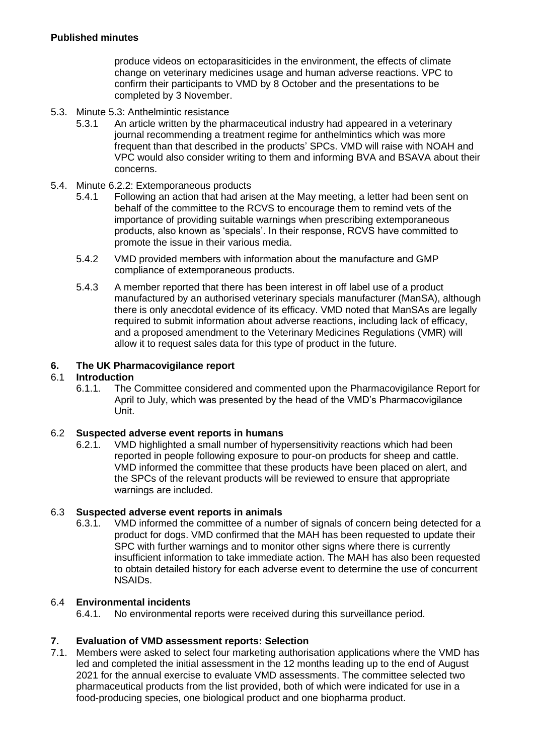produce videos on ectoparasiticides in the environment, the effects of climate change on veterinary medicines usage and human adverse reactions. VPC to confirm their participants to VMD by 8 October and the presentations to be completed by 3 November.

- 5.3. Minute 5.3: Anthelmintic resistance
	- 5.3.1 An article written by the pharmaceutical industry had appeared in a veterinary journal recommending a treatment regime for anthelmintics which was more frequent than that described in the products' SPCs. VMD will raise with NOAH and VPC would also consider writing to them and informing BVA and BSAVA about their concerns.
- 5.4. Minute 6.2.2: Extemporaneous products
	- 5.4.1 Following an action that had arisen at the May meeting, a letter had been sent on behalf of the committee to the RCVS to encourage them to remind vets of the importance of providing suitable warnings when prescribing extemporaneous products, also known as 'specials'. In their response, RCVS have committed to promote the issue in their various media.
	- 5.4.2 VMD provided members with information about the manufacture and GMP compliance of extemporaneous products.
	- 5.4.3 A member reported that there has been interest in off label use of a product manufactured by an authorised veterinary specials manufacturer (ManSA), although there is only anecdotal evidence of its efficacy. VMD noted that ManSAs are legally required to submit information about adverse reactions, including lack of efficacy, and a proposed amendment to the Veterinary Medicines Regulations (VMR) will allow it to request sales data for this type of product in the future.

## **6. The UK Pharmacovigilance report**

## 6.1 **Introduction**

6.1.1. The Committee considered and commented upon the Pharmacovigilance Report for April to July, which was presented by the head of the VMD's Pharmacovigilance Unit.

## 6.2 **Suspected adverse event reports in humans**

6.2.1. VMD highlighted a small number of hypersensitivity reactions which had been reported in people following exposure to pour-on products for sheep and cattle. VMD informed the committee that these products have been placed on alert, and the SPCs of the relevant products will be reviewed to ensure that appropriate warnings are included.

## 6.3 **Suspected adverse event reports in animals**

6.3.1. VMD informed the committee of a number of signals of concern being detected for a product for dogs. VMD confirmed that the MAH has been requested to update their SPC with further warnings and to monitor other signs where there is currently insufficient information to take immediate action. The MAH has also been requested to obtain detailed history for each adverse event to determine the use of concurrent NSAIDs.

## 6.4 **Environmental incidents**

6.4.1. No environmental reports were received during this surveillance period.

## **7. Evaluation of VMD assessment reports: Selection**

7.1. Members were asked to select four marketing authorisation applications where the VMD has led and completed the initial assessment in the 12 months leading up to the end of August 2021 for the annual exercise to evaluate VMD assessments. The committee selected two pharmaceutical products from the list provided, both of which were indicated for use in a food-producing species, one biological product and one biopharma product.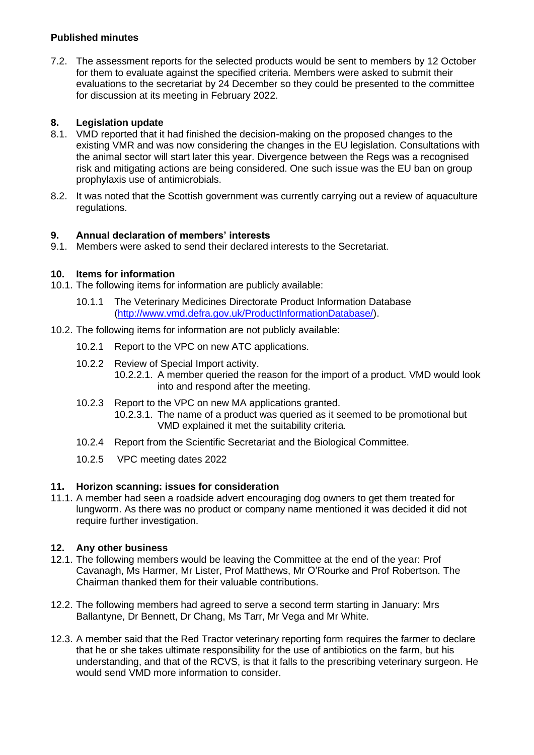7.2. The assessment reports for the selected products would be sent to members by 12 October for them to evaluate against the specified criteria. Members were asked to submit their evaluations to the secretariat by 24 December so they could be presented to the committee for discussion at its meeting in February 2022.

## **8. Legislation update**

- 8.1. VMD reported that it had finished the decision-making on the proposed changes to the existing VMR and was now considering the changes in the EU legislation. Consultations with the animal sector will start later this year. Divergence between the Regs was a recognised risk and mitigating actions are being considered. One such issue was the EU ban on group prophylaxis use of antimicrobials.
- 8.2. It was noted that the Scottish government was currently carrying out a review of aquaculture regulations.

#### **9. Annual declaration of members' interests**

9.1. Members were asked to send their declared interests to the Secretariat.

#### **10. Items for information**

- 10.1. The following items for information are publicly available:
	- 10.1.1 The Veterinary Medicines Directorate Product Information Database [\(http://www.vmd.defra.gov.uk/ProductInformationDatabase/\)](http://www.vmd.defra.gov.uk/ProductInformationDatabase/).
- 10.2. The following items for information are not publicly available:
	- 10.2.1 Report to the VPC on new ATC applications.
	- 10.2.2 Review of Special Import activity.
		- 10.2.2.1. A member queried the reason for the import of a product. VMD would look into and respond after the meeting.
	- 10.2.3 Report to the VPC on new MA applications granted.
		- 10.2.3.1. The name of a product was queried as it seemed to be promotional but VMD explained it met the suitability criteria.
	- 10.2.4 Report from the Scientific Secretariat and the Biological Committee.
	- 10.2.5 VPC meeting dates 2022

#### **11. Horizon scanning: issues for consideration**

11.1. A member had seen a roadside advert encouraging dog owners to get them treated for lungworm. As there was no product or company name mentioned it was decided it did not require further investigation.

#### **12. Any other business**

- 12.1. The following members would be leaving the Committee at the end of the year: Prof Cavanagh, Ms Harmer, Mr Lister, Prof Matthews, Mr O'Rourke and Prof Robertson. The Chairman thanked them for their valuable contributions.
- 12.2. The following members had agreed to serve a second term starting in January: Mrs Ballantyne, Dr Bennett, Dr Chang, Ms Tarr, Mr Vega and Mr White.
- 12.3. A member said that the Red Tractor veterinary reporting form requires the farmer to declare that he or she takes ultimate responsibility for the use of antibiotics on the farm, but his understanding, and that of the RCVS, is that it falls to the prescribing veterinary surgeon. He would send VMD more information to consider.